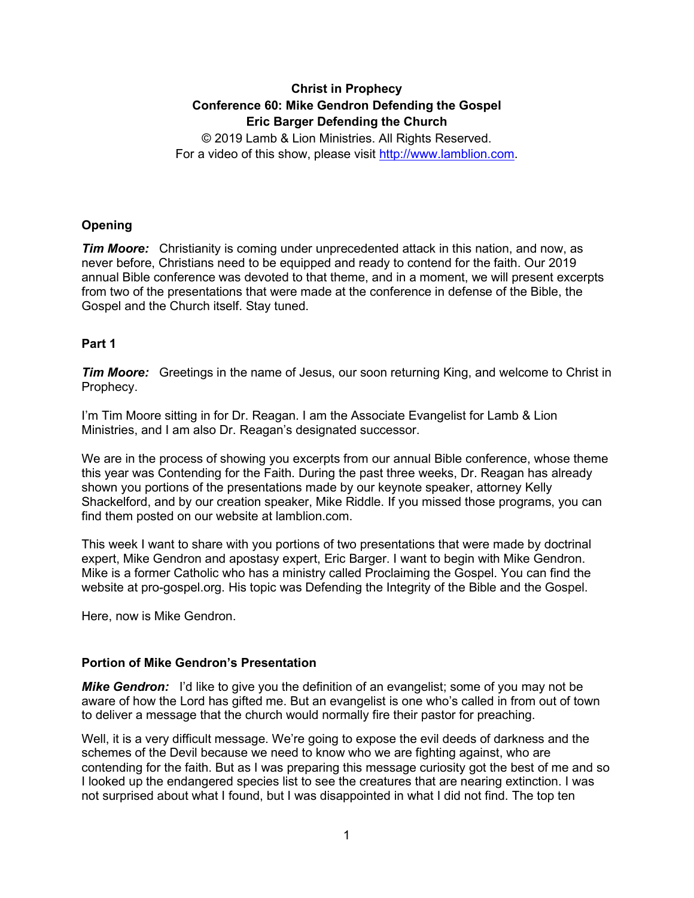# **Christ in Prophecy Conference 60: Mike Gendron Defending the Gospel Eric Barger Defending the Church**

© 2019 Lamb & Lion Ministries. All Rights Reserved. For a video of this show, please visit [http://www.lamblion.com.](http://www.lamblion.com/)

# **Opening**

*Tim Moore:* Christianity is coming under unprecedented attack in this nation, and now, as never before, Christians need to be equipped and ready to contend for the faith. Our 2019 annual Bible conference was devoted to that theme, and in a moment, we will present excerpts from two of the presentations that were made at the conference in defense of the Bible, the Gospel and the Church itself. Stay tuned.

# **Part 1**

*Tim Moore:* Greetings in the name of Jesus, our soon returning King, and welcome to Christ in Prophecy.

I'm Tim Moore sitting in for Dr. Reagan. I am the Associate Evangelist for Lamb & Lion Ministries, and I am also Dr. Reagan's designated successor.

We are in the process of showing you excerpts from our annual Bible conference, whose theme this year was Contending for the Faith. During the past three weeks, Dr. Reagan has already shown you portions of the presentations made by our keynote speaker, attorney Kelly Shackelford, and by our creation speaker, Mike Riddle. If you missed those programs, you can find them posted on our website at lamblion.com.

This week I want to share with you portions of two presentations that were made by doctrinal expert, Mike Gendron and apostasy expert, Eric Barger. I want to begin with Mike Gendron. Mike is a former Catholic who has a ministry called Proclaiming the Gospel. You can find the website at pro-gospel.org. His topic was Defending the Integrity of the Bible and the Gospel.

Here, now is Mike Gendron.

### **Portion of Mike Gendron's Presentation**

*Mike Gendron:* I'd like to give you the definition of an evangelist; some of you may not be aware of how the Lord has gifted me. But an evangelist is one who's called in from out of town to deliver a message that the church would normally fire their pastor for preaching.

Well, it is a very difficult message. We're going to expose the evil deeds of darkness and the schemes of the Devil because we need to know who we are fighting against, who are contending for the faith. But as I was preparing this message curiosity got the best of me and so I looked up the endangered species list to see the creatures that are nearing extinction. I was not surprised about what I found, but I was disappointed in what I did not find. The top ten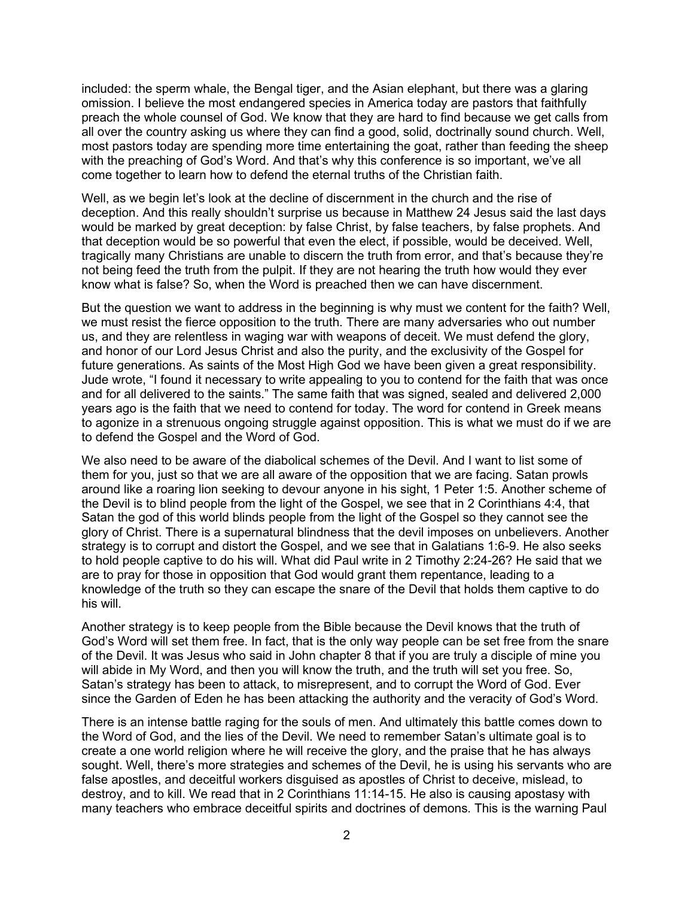included: the sperm whale, the Bengal tiger, and the Asian elephant, but there was a glaring omission. I believe the most endangered species in America today are pastors that faithfully preach the whole counsel of God. We know that they are hard to find because we get calls from all over the country asking us where they can find a good, solid, doctrinally sound church. Well, most pastors today are spending more time entertaining the goat, rather than feeding the sheep with the preaching of God's Word. And that's why this conference is so important, we've all come together to learn how to defend the eternal truths of the Christian faith.

Well, as we begin let's look at the decline of discernment in the church and the rise of deception. And this really shouldn't surprise us because in Matthew 24 Jesus said the last days would be marked by great deception: by false Christ, by false teachers, by false prophets. And that deception would be so powerful that even the elect, if possible, would be deceived. Well, tragically many Christians are unable to discern the truth from error, and that's because they're not being feed the truth from the pulpit. If they are not hearing the truth how would they ever know what is false? So, when the Word is preached then we can have discernment.

But the question we want to address in the beginning is why must we content for the faith? Well, we must resist the fierce opposition to the truth. There are many adversaries who out number us, and they are relentless in waging war with weapons of deceit. We must defend the glory, and honor of our Lord Jesus Christ and also the purity, and the exclusivity of the Gospel for future generations. As saints of the Most High God we have been given a great responsibility. Jude wrote, "I found it necessary to write appealing to you to contend for the faith that was once and for all delivered to the saints." The same faith that was signed, sealed and delivered 2,000 years ago is the faith that we need to contend for today. The word for contend in Greek means to agonize in a strenuous ongoing struggle against opposition. This is what we must do if we are to defend the Gospel and the Word of God.

We also need to be aware of the diabolical schemes of the Devil. And I want to list some of them for you, just so that we are all aware of the opposition that we are facing. Satan prowls around like a roaring lion seeking to devour anyone in his sight, 1 Peter 1:5. Another scheme of the Devil is to blind people from the light of the Gospel, we see that in 2 Corinthians 4:4, that Satan the god of this world blinds people from the light of the Gospel so they cannot see the glory of Christ. There is a supernatural blindness that the devil imposes on unbelievers. Another strategy is to corrupt and distort the Gospel, and we see that in Galatians 1:6-9. He also seeks to hold people captive to do his will. What did Paul write in 2 Timothy 2:24-26? He said that we are to pray for those in opposition that God would grant them repentance, leading to a knowledge of the truth so they can escape the snare of the Devil that holds them captive to do his will.

Another strategy is to keep people from the Bible because the Devil knows that the truth of God's Word will set them free. In fact, that is the only way people can be set free from the snare of the Devil. It was Jesus who said in John chapter 8 that if you are truly a disciple of mine you will abide in My Word, and then you will know the truth, and the truth will set you free. So, Satan's strategy has been to attack, to misrepresent, and to corrupt the Word of God. Ever since the Garden of Eden he has been attacking the authority and the veracity of God's Word.

There is an intense battle raging for the souls of men. And ultimately this battle comes down to the Word of God, and the lies of the Devil. We need to remember Satan's ultimate goal is to create a one world religion where he will receive the glory, and the praise that he has always sought. Well, there's more strategies and schemes of the Devil, he is using his servants who are false apostles, and deceitful workers disguised as apostles of Christ to deceive, mislead, to destroy, and to kill. We read that in 2 Corinthians 11:14-15. He also is causing apostasy with many teachers who embrace deceitful spirits and doctrines of demons. This is the warning Paul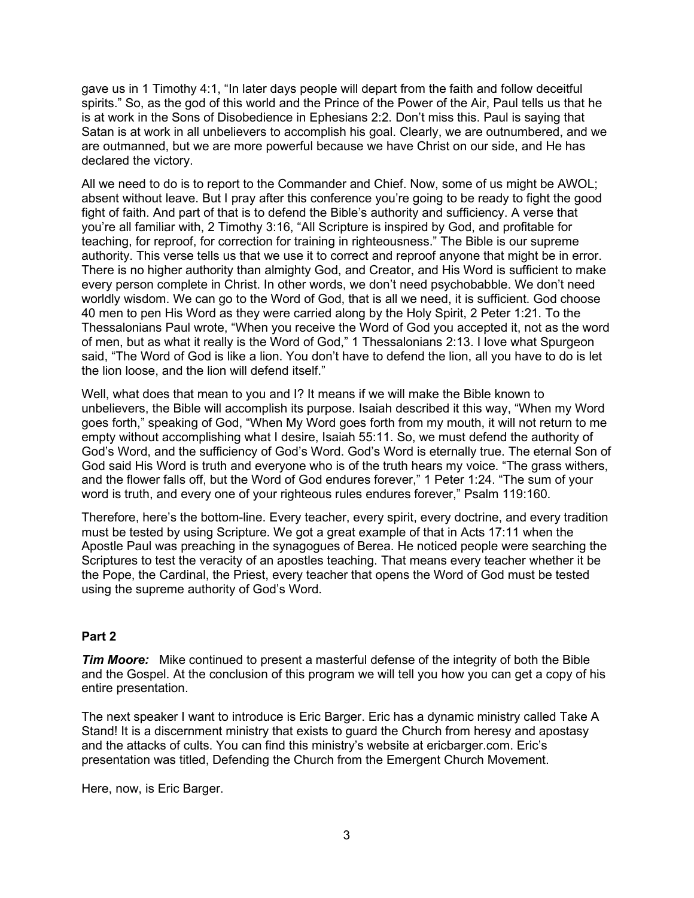gave us in 1 Timothy 4:1, "In later days people will depart from the faith and follow deceitful spirits." So, as the god of this world and the Prince of the Power of the Air, Paul tells us that he is at work in the Sons of Disobedience in Ephesians 2:2. Don't miss this. Paul is saying that Satan is at work in all unbelievers to accomplish his goal. Clearly, we are outnumbered, and we are outmanned, but we are more powerful because we have Christ on our side, and He has declared the victory.

All we need to do is to report to the Commander and Chief. Now, some of us might be AWOL; absent without leave. But I pray after this conference you're going to be ready to fight the good fight of faith. And part of that is to defend the Bible's authority and sufficiency. A verse that you're all familiar with, 2 Timothy 3:16, "All Scripture is inspired by God, and profitable for teaching, for reproof, for correction for training in righteousness." The Bible is our supreme authority. This verse tells us that we use it to correct and reproof anyone that might be in error. There is no higher authority than almighty God, and Creator, and His Word is sufficient to make every person complete in Christ. In other words, we don't need psychobabble. We don't need worldly wisdom. We can go to the Word of God, that is all we need, it is sufficient. God choose 40 men to pen His Word as they were carried along by the Holy Spirit, 2 Peter 1:21. To the Thessalonians Paul wrote, "When you receive the Word of God you accepted it, not as the word of men, but as what it really is the Word of God," 1 Thessalonians 2:13. I love what Spurgeon said, "The Word of God is like a lion. You don't have to defend the lion, all you have to do is let the lion loose, and the lion will defend itself."

Well, what does that mean to you and I? It means if we will make the Bible known to unbelievers, the Bible will accomplish its purpose. Isaiah described it this way, "When my Word goes forth," speaking of God, "When My Word goes forth from my mouth, it will not return to me empty without accomplishing what I desire, Isaiah 55:11. So, we must defend the authority of God's Word, and the sufficiency of God's Word. God's Word is eternally true. The eternal Son of God said His Word is truth and everyone who is of the truth hears my voice. "The grass withers, and the flower falls off, but the Word of God endures forever," 1 Peter 1:24. "The sum of your word is truth, and every one of your righteous rules endures forever," Psalm 119:160.

Therefore, here's the bottom-line. Every teacher, every spirit, every doctrine, and every tradition must be tested by using Scripture. We got a great example of that in Acts 17:11 when the Apostle Paul was preaching in the synagogues of Berea. He noticed people were searching the Scriptures to test the veracity of an apostles teaching. That means every teacher whether it be the Pope, the Cardinal, the Priest, every teacher that opens the Word of God must be tested using the supreme authority of God's Word.

### **Part 2**

*Tim Moore:* Mike continued to present a masterful defense of the integrity of both the Bible and the Gospel. At the conclusion of this program we will tell you how you can get a copy of his entire presentation.

The next speaker I want to introduce is Eric Barger. Eric has a dynamic ministry called Take A Stand! It is a discernment ministry that exists to guard the Church from heresy and apostasy and the attacks of cults. You can find this ministry's website at ericbarger.com. Eric's presentation was titled, Defending the Church from the Emergent Church Movement.

Here, now, is Eric Barger.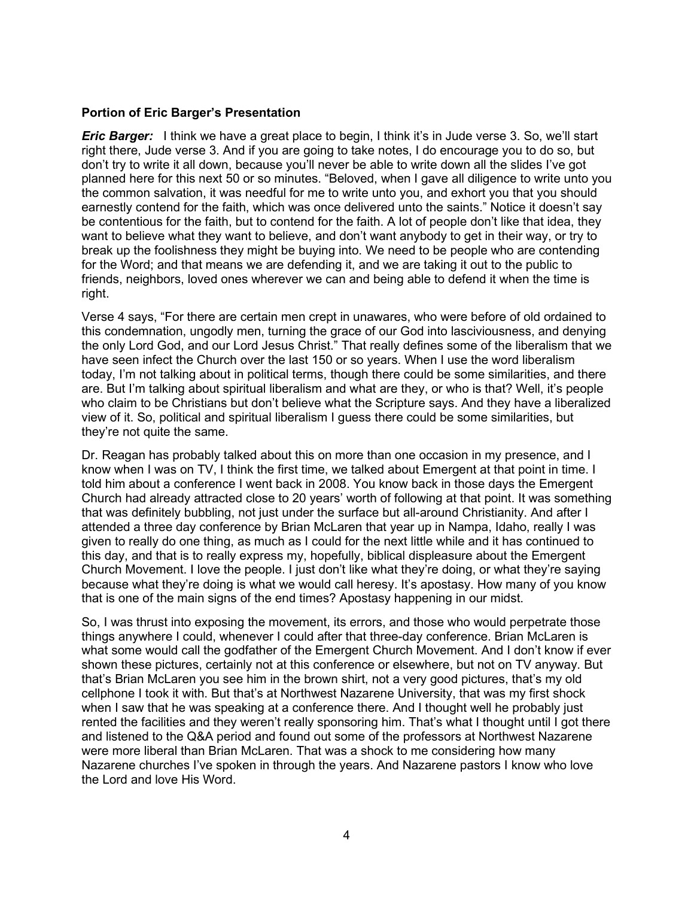#### **Portion of Eric Barger's Presentation**

*Eric Barger:* I think we have a great place to begin, I think it's in Jude verse 3. So, we'll start right there, Jude verse 3. And if you are going to take notes, I do encourage you to do so, but don't try to write it all down, because you'll never be able to write down all the slides I've got planned here for this next 50 or so minutes. "Beloved, when I gave all diligence to write unto you the common salvation, it was needful for me to write unto you, and exhort you that you should earnestly contend for the faith, which was once delivered unto the saints." Notice it doesn't say be contentious for the faith, but to contend for the faith. A lot of people don't like that idea, they want to believe what they want to believe, and don't want anybody to get in their way, or try to break up the foolishness they might be buying into. We need to be people who are contending for the Word; and that means we are defending it, and we are taking it out to the public to friends, neighbors, loved ones wherever we can and being able to defend it when the time is right.

Verse 4 says, "For there are certain men crept in unawares, who were before of old ordained to this condemnation, ungodly men, turning the grace of our God into lasciviousness, and denying the only Lord God, and our Lord Jesus Christ." That really defines some of the liberalism that we have seen infect the Church over the last 150 or so years. When I use the word liberalism today, I'm not talking about in political terms, though there could be some similarities, and there are. But I'm talking about spiritual liberalism and what are they, or who is that? Well, it's people who claim to be Christians but don't believe what the Scripture says. And they have a liberalized view of it. So, political and spiritual liberalism I guess there could be some similarities, but they're not quite the same.

Dr. Reagan has probably talked about this on more than one occasion in my presence, and I know when I was on TV, I think the first time, we talked about Emergent at that point in time. I told him about a conference I went back in 2008. You know back in those days the Emergent Church had already attracted close to 20 years' worth of following at that point. It was something that was definitely bubbling, not just under the surface but all-around Christianity. And after I attended a three day conference by Brian McLaren that year up in Nampa, Idaho, really I was given to really do one thing, as much as I could for the next little while and it has continued to this day, and that is to really express my, hopefully, biblical displeasure about the Emergent Church Movement. I love the people. I just don't like what they're doing, or what they're saying because what they're doing is what we would call heresy. It's apostasy. How many of you know that is one of the main signs of the end times? Apostasy happening in our midst.

So, I was thrust into exposing the movement, its errors, and those who would perpetrate those things anywhere I could, whenever I could after that three-day conference. Brian McLaren is what some would call the godfather of the Emergent Church Movement. And I don't know if ever shown these pictures, certainly not at this conference or elsewhere, but not on TV anyway. But that's Brian McLaren you see him in the brown shirt, not a very good pictures, that's my old cellphone I took it with. But that's at Northwest Nazarene University, that was my first shock when I saw that he was speaking at a conference there. And I thought well he probably just rented the facilities and they weren't really sponsoring him. That's what I thought until I got there and listened to the Q&A period and found out some of the professors at Northwest Nazarene were more liberal than Brian McLaren. That was a shock to me considering how many Nazarene churches I've spoken in through the years. And Nazarene pastors I know who love the Lord and love His Word.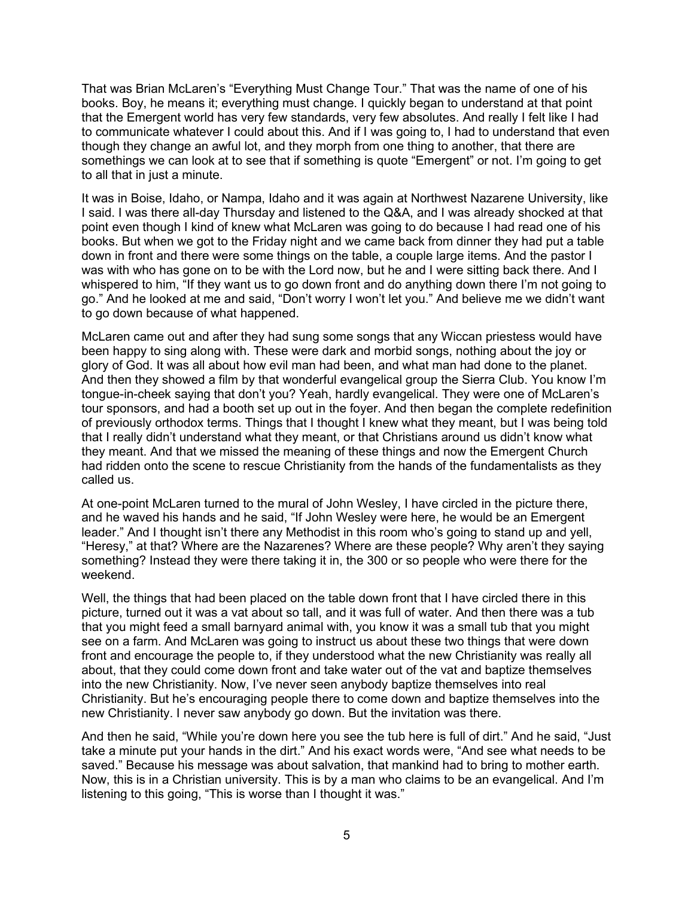That was Brian McLaren's "Everything Must Change Tour." That was the name of one of his books. Boy, he means it; everything must change. I quickly began to understand at that point that the Emergent world has very few standards, very few absolutes. And really I felt like I had to communicate whatever I could about this. And if I was going to, I had to understand that even though they change an awful lot, and they morph from one thing to another, that there are somethings we can look at to see that if something is quote "Emergent" or not. I'm going to get to all that in just a minute.

It was in Boise, Idaho, or Nampa, Idaho and it was again at Northwest Nazarene University, like I said. I was there all-day Thursday and listened to the Q&A, and I was already shocked at that point even though I kind of knew what McLaren was going to do because I had read one of his books. But when we got to the Friday night and we came back from dinner they had put a table down in front and there were some things on the table, a couple large items. And the pastor I was with who has gone on to be with the Lord now, but he and I were sitting back there. And I whispered to him, "If they want us to go down front and do anything down there I'm not going to go." And he looked at me and said, "Don't worry I won't let you." And believe me we didn't want to go down because of what happened.

McLaren came out and after they had sung some songs that any Wiccan priestess would have been happy to sing along with. These were dark and morbid songs, nothing about the joy or glory of God. It was all about how evil man had been, and what man had done to the planet. And then they showed a film by that wonderful evangelical group the Sierra Club. You know I'm tongue-in-cheek saying that don't you? Yeah, hardly evangelical. They were one of McLaren's tour sponsors, and had a booth set up out in the foyer. And then began the complete redefinition of previously orthodox terms. Things that I thought I knew what they meant, but I was being told that I really didn't understand what they meant, or that Christians around us didn't know what they meant. And that we missed the meaning of these things and now the Emergent Church had ridden onto the scene to rescue Christianity from the hands of the fundamentalists as they called us.

At one-point McLaren turned to the mural of John Wesley, I have circled in the picture there, and he waved his hands and he said, "If John Wesley were here, he would be an Emergent leader." And I thought isn't there any Methodist in this room who's going to stand up and yell, "Heresy," at that? Where are the Nazarenes? Where are these people? Why aren't they saying something? Instead they were there taking it in, the 300 or so people who were there for the weekend.

Well, the things that had been placed on the table down front that I have circled there in this picture, turned out it was a vat about so tall, and it was full of water. And then there was a tub that you might feed a small barnyard animal with, you know it was a small tub that you might see on a farm. And McLaren was going to instruct us about these two things that were down front and encourage the people to, if they understood what the new Christianity was really all about, that they could come down front and take water out of the vat and baptize themselves into the new Christianity. Now, I've never seen anybody baptize themselves into real Christianity. But he's encouraging people there to come down and baptize themselves into the new Christianity. I never saw anybody go down. But the invitation was there.

And then he said, "While you're down here you see the tub here is full of dirt." And he said, "Just take a minute put your hands in the dirt." And his exact words were, "And see what needs to be saved." Because his message was about salvation, that mankind had to bring to mother earth. Now, this is in a Christian university. This is by a man who claims to be an evangelical. And I'm listening to this going, "This is worse than I thought it was."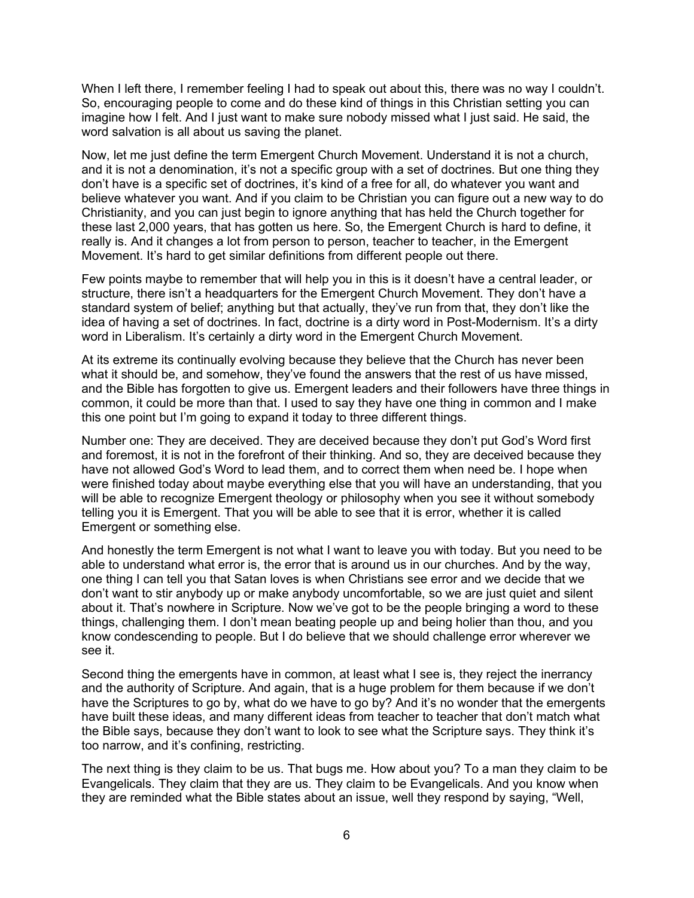When I left there, I remember feeling I had to speak out about this, there was no way I couldn't. So, encouraging people to come and do these kind of things in this Christian setting you can imagine how I felt. And I just want to make sure nobody missed what I just said. He said, the word salvation is all about us saving the planet.

Now, let me just define the term Emergent Church Movement. Understand it is not a church, and it is not a denomination, it's not a specific group with a set of doctrines. But one thing they don't have is a specific set of doctrines, it's kind of a free for all, do whatever you want and believe whatever you want. And if you claim to be Christian you can figure out a new way to do Christianity, and you can just begin to ignore anything that has held the Church together for these last 2,000 years, that has gotten us here. So, the Emergent Church is hard to define, it really is. And it changes a lot from person to person, teacher to teacher, in the Emergent Movement. It's hard to get similar definitions from different people out there.

Few points maybe to remember that will help you in this is it doesn't have a central leader, or structure, there isn't a headquarters for the Emergent Church Movement. They don't have a standard system of belief; anything but that actually, they've run from that, they don't like the idea of having a set of doctrines. In fact, doctrine is a dirty word in Post-Modernism. It's a dirty word in Liberalism. It's certainly a dirty word in the Emergent Church Movement.

At its extreme its continually evolving because they believe that the Church has never been what it should be, and somehow, they've found the answers that the rest of us have missed, and the Bible has forgotten to give us. Emergent leaders and their followers have three things in common, it could be more than that. I used to say they have one thing in common and I make this one point but I'm going to expand it today to three different things.

Number one: They are deceived. They are deceived because they don't put God's Word first and foremost, it is not in the forefront of their thinking. And so, they are deceived because they have not allowed God's Word to lead them, and to correct them when need be. I hope when were finished today about maybe everything else that you will have an understanding, that you will be able to recognize Emergent theology or philosophy when you see it without somebody telling you it is Emergent. That you will be able to see that it is error, whether it is called Emergent or something else.

And honestly the term Emergent is not what I want to leave you with today. But you need to be able to understand what error is, the error that is around us in our churches. And by the way, one thing I can tell you that Satan loves is when Christians see error and we decide that we don't want to stir anybody up or make anybody uncomfortable, so we are just quiet and silent about it. That's nowhere in Scripture. Now we've got to be the people bringing a word to these things, challenging them. I don't mean beating people up and being holier than thou, and you know condescending to people. But I do believe that we should challenge error wherever we see it.

Second thing the emergents have in common, at least what I see is, they reject the inerrancy and the authority of Scripture. And again, that is a huge problem for them because if we don't have the Scriptures to go by, what do we have to go by? And it's no wonder that the emergents have built these ideas, and many different ideas from teacher to teacher that don't match what the Bible says, because they don't want to look to see what the Scripture says. They think it's too narrow, and it's confining, restricting.

The next thing is they claim to be us. That bugs me. How about you? To a man they claim to be Evangelicals. They claim that they are us. They claim to be Evangelicals. And you know when they are reminded what the Bible states about an issue, well they respond by saying, "Well,